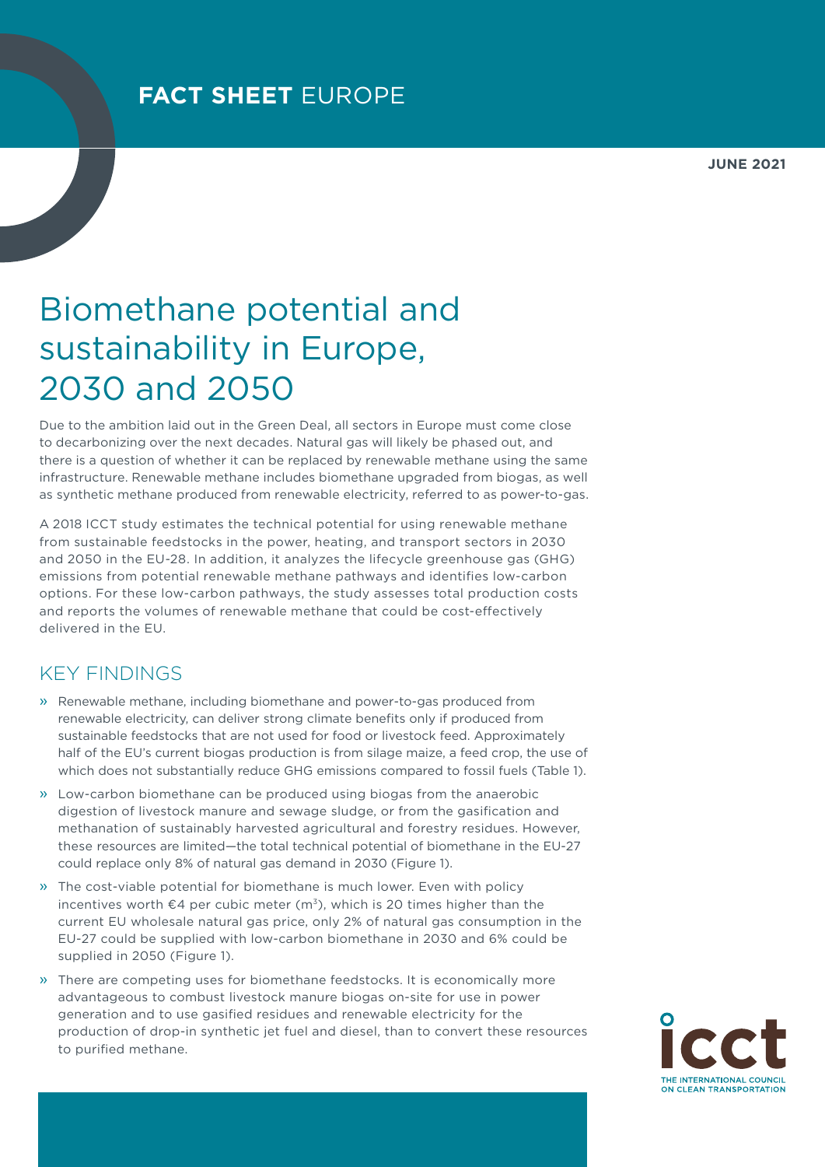## Biomethane potential and sustainability in Europe, 2030 and 2050

Due to the ambition laid out in the Green Deal, all sectors in Europe must come close to decarbonizing over the next decades. Natural gas will likely be phased out, and there is a question of whether it can be replaced by renewable methane using the same infrastructure. Renewable methane includes biomethane upgraded from biogas, as well as synthetic methane produced from renewable electricity, referred to as power-to-gas.

A 2018 ICCT study estimates the technical potential for using renewable methane from sustainable feedstocks in the power, heating, and transport sectors in 2030 and 2050 in the EU-28. In addition, it analyzes the lifecycle greenhouse gas (GHG) emissions from potential renewable methane pathways and identifies low-carbon options. For these low-carbon pathways, the study assesses total production costs and reports the volumes of renewable methane that could be cost-effectively delivered in the EU.

## KEY FINDINGS

- » Renewable methane, including biomethane and power-to-gas produced from renewable electricity, can deliver strong climate benefits only if produced from sustainable feedstocks that are not used for food or livestock feed. Approximately half of the EU's current biogas production is from silage maize, a feed crop, the use of which does not substantially reduce GHG emissions compared to fossil fuels (Table 1).
- » Low-carbon biomethane can be produced using biogas from the anaerobic digestion of livestock manure and sewage sludge, or from the gasification and methanation of sustainably harvested agricultural and forestry residues. However, these resources are limited—the total technical potential of biomethane in the EU-27 could replace only 8% of natural gas demand in 2030 (Figure 1).
- » The cost-viable potential for biomethane is much lower. Even with policy incentives worth  $\epsilon$ 4 per cubic meter (m<sup>3</sup>), which is 20 times higher than the current EU wholesale natural gas price, only 2% of natural gas consumption in the EU-27 could be supplied with low-carbon biomethane in 2030 and 6% could be supplied in 2050 (Figure 1).
- » There are competing uses for biomethane feedstocks. It is economically more advantageous to combust livestock manure biogas on-site for use in power generation and to use gasified residues and renewable electricity for the production of drop-in synthetic jet fuel and diesel, than to convert these resources to purified methane.